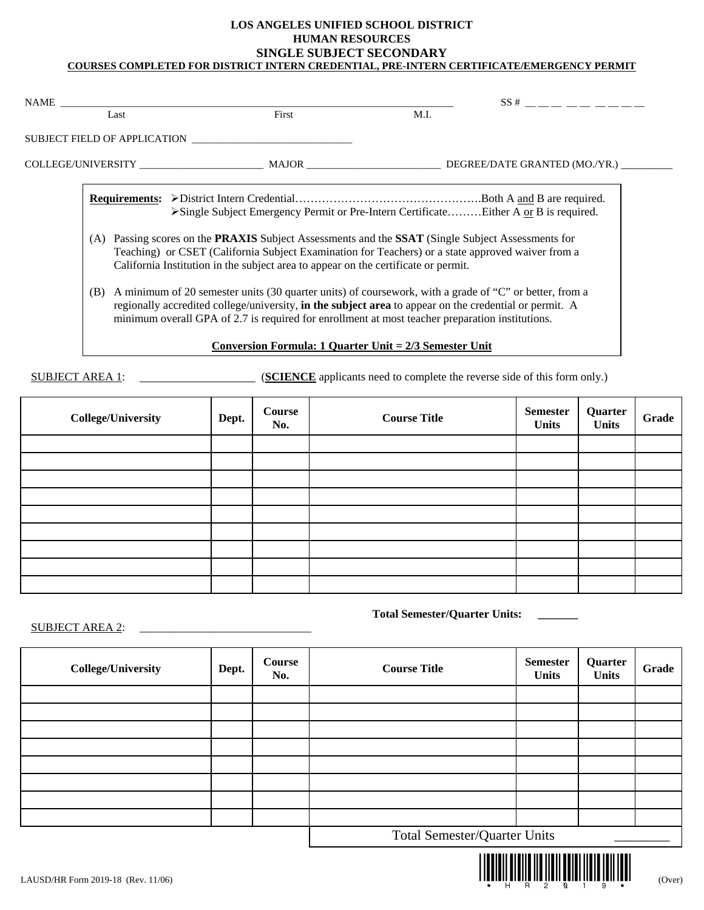### **LOS ANGELES UNIFIED SCHOOL DISTRICT HUMAN RESOURCES SINGLE SUBJECT SECONDARY COURSES COMPLETED FOR DISTRICT INTERN CREDENTIAL, PRE-INTERN CERTIFICATE/EMERGENCY PERMIT**

|      |                                                                                                 |                                                                                                                                                                                                                                                                                                                                                                                                                                      | $SS#$ $\_\_$ $\_\_$ $\_\_$ $\_\_$ $\_\_$ $\_\_$ $\_\_$ $\_\_$ $\_\_$ $\_\_$ $\_\_$ $\_\_$ $\_\_$ $\_\_$ $\_\_$ $\_\_$ $\_\_$ $\_\_$ $\_\_$ $\_\_$ $\_\_$ $\_\_$ $\_\_$ $\_\_$ $\_\_$ $\_\_$ $\_\_$ $\_\_$ $\_\_$ $\_\_$ $\_\_$ $\_\_$ $\_\_$ $\_\_$ $\_\_$ $\_\_$ |  |  |
|------|-------------------------------------------------------------------------------------------------|--------------------------------------------------------------------------------------------------------------------------------------------------------------------------------------------------------------------------------------------------------------------------------------------------------------------------------------------------------------------------------------------------------------------------------------|-------------------------------------------------------------------------------------------------------------------------------------------------------------------------------------------------------------------------------------------------------------------|--|--|
| Last | First                                                                                           | M.I.                                                                                                                                                                                                                                                                                                                                                                                                                                 |                                                                                                                                                                                                                                                                   |  |  |
|      | SUBJECT FIELD OF APPLICATION                                                                    |                                                                                                                                                                                                                                                                                                                                                                                                                                      |                                                                                                                                                                                                                                                                   |  |  |
|      |                                                                                                 |                                                                                                                                                                                                                                                                                                                                                                                                                                      |                                                                                                                                                                                                                                                                   |  |  |
|      | >Single Subject Emergency Permit or Pre-Intern CertificateEither A or B is required.            |                                                                                                                                                                                                                                                                                                                                                                                                                                      |                                                                                                                                                                                                                                                                   |  |  |
| (A)  | California Institution in the subject area to appear on the certificate or permit.              | Passing scores on the <b>PRAXIS</b> Subject Assessments and the <b>SSAT</b> (Single Subject Assessments for<br>Teaching) or CSET (California Subject Examination for Teachers) or a state approved waiver from a<br>A minimum of 20 semester units (30 quarter units) of coursework, with a grade of "C" or better, from a<br>regionally accredited college/university, in the subject area to appear on the credential or permit. A |                                                                                                                                                                                                                                                                   |  |  |
| (B)  | minimum overall GPA of 2.7 is required for enrollment at most teacher preparation institutions. |                                                                                                                                                                                                                                                                                                                                                                                                                                      |                                                                                                                                                                                                                                                                   |  |  |
|      | Conversion Formula: 1 Quarter Unit = 2/3 Semester Unit                                          |                                                                                                                                                                                                                                                                                                                                                                                                                                      |                                                                                                                                                                                                                                                                   |  |  |

SUBJECT AREA 1: (**SCIENCE** applicants need to complete the reverse side of this form only.)

| <b>College/University</b> | Dept. | Course<br>No. | <b>Course Title</b> | <b>Semester</b><br><b>Units</b> | Quarter<br><b>Units</b> | Grade |
|---------------------------|-------|---------------|---------------------|---------------------------------|-------------------------|-------|
|                           |       |               |                     |                                 |                         |       |
|                           |       |               |                     |                                 |                         |       |
|                           |       |               |                     |                                 |                         |       |
|                           |       |               |                     |                                 |                         |       |
|                           |       |               |                     |                                 |                         |       |
|                           |       |               |                     |                                 |                         |       |
|                           |       |               |                     |                                 |                         |       |
|                           |       |               |                     |                                 |                         |       |
|                           |       |               |                     |                                 |                         |       |

**Total Semester/Quarter Units: \_\_\_\_\_\_\_**

SUBJECT AREA 2:

| <b>College/University</b> | Dept. | Course<br>No. | <b>Course Title</b>                 | <b>Semester</b><br><b>Units</b> | Quarter<br><b>Units</b> | Grade |
|---------------------------|-------|---------------|-------------------------------------|---------------------------------|-------------------------|-------|
|                           |       |               |                                     |                                 |                         |       |
|                           |       |               |                                     |                                 |                         |       |
|                           |       |               |                                     |                                 |                         |       |
|                           |       |               |                                     |                                 |                         |       |
|                           |       |               |                                     |                                 |                         |       |
|                           |       |               |                                     |                                 |                         |       |
|                           |       |               |                                     |                                 |                         |       |
|                           |       |               |                                     |                                 |                         |       |
|                           |       |               | <b>Total Semester/Quarter Units</b> |                                 |                         |       |